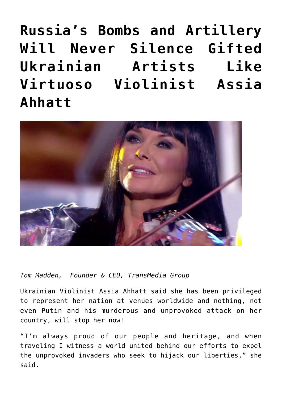**[Russia's Bombs and Artillery](https://www.commpro.biz/russias-bombs-and-artillery-will-never-silence-gifted-ukrainian-artists-like-virtuoso-violinist-assia-ahhatt/) [Will Never Silence Gifted](https://www.commpro.biz/russias-bombs-and-artillery-will-never-silence-gifted-ukrainian-artists-like-virtuoso-violinist-assia-ahhatt/) [Ukrainian Artists Like](https://www.commpro.biz/russias-bombs-and-artillery-will-never-silence-gifted-ukrainian-artists-like-virtuoso-violinist-assia-ahhatt/) [Virtuoso Violinist Assia](https://www.commpro.biz/russias-bombs-and-artillery-will-never-silence-gifted-ukrainian-artists-like-virtuoso-violinist-assia-ahhatt/) [Ahhatt](https://www.commpro.biz/russias-bombs-and-artillery-will-never-silence-gifted-ukrainian-artists-like-virtuoso-violinist-assia-ahhatt/)** 



*Tom Madden, Founder & CEO, [TransMedia Group](https://www.transmediagroup.com/)*

Ukrainian Violinist Assia Ahhatt said she has been privileged to represent her nation at venues worldwide and nothing, not even Putin and his murderous and unprovoked attack on her country, will stop her now!

"I'm always proud of our people and heritage, and when traveling I witness a world united behind our efforts to expel the unprovoked invaders who seek to hijack our liberties," she said.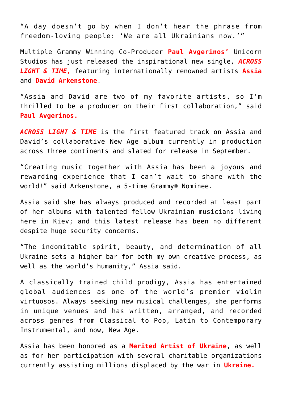"A day doesn't go by when I don't hear the phrase from freedom-loving people: 'We are all Ukrainians now.'"

Multiple Grammy Winning Co-Producer **Paul Avgerinos'** Unicorn Studios has just released the inspirational new single, *ACROSS LIGHT & TIME,* featuring internationally renowned artists **Assia** and **David Arkenstone**.

"Assia and David are two of my favorite artists, so I'm thrilled to be a producer on their first collaboration," said **Paul Avgerinos.**

*ACROSS LIGHT & TIME* is the first featured track on Assia and David's collaborative New Age album currently in production across three continents and slated for release in September.

"Creating music together with Assia has been a joyous and rewarding experience that I can't wait to share with the world!" said Arkenstone, a 5-time Grammy® Nominee.

Assia said she has always produced and recorded at least part of her albums with talented fellow Ukrainian musicians living here in Kiev; and this latest release has been no different despite huge security concerns.

"The indomitable spirit, beauty, and determination of all Ukraine sets a higher bar for both my own creative process, as well as the world's humanity," Assia said.

A classically trained child prodigy, Assia has entertained global audiences as one of the world's premier violin virtuosos. Always seeking new musical challenges, she performs in unique venues and has written, arranged, and recorded across genres from Classical to Pop, Latin to Contemporary Instrumental, and now, New Age.

Assia has been honored as a **Merited Artist of Ukraine**, as well as for her participation with several charitable organizations currently assisting millions displaced by the war in **Ukraine.**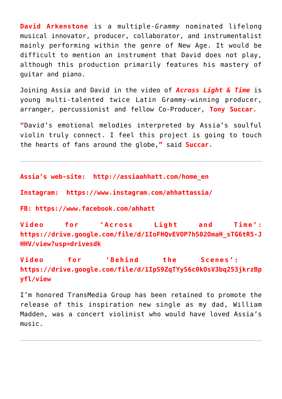**David Arkenstone** is a multiple-*Grammy* nominated lifelong musical innovator, producer, collaborator, and instrumentalist mainly performing within the genre of New Age. It would be difficult to mention an instrument that David does not play, although this production primarily features his mastery of guitar and piano.

Joining Assia and David in the video of *Across Light & Time* is young multi-talented twice Latin Grammy-winning producer, arranger, percussionist and fellow Co-Producer, **Tony Succar.**

**"**David's emotional melodies interpreted by Assia's soulful violin truly connect. I feel this project is going to touch the hearts of fans around the globe,**"** said **Succar.**

**Assia's web-site: [http://assiaahhatt.com/home\\_en](http://assiaahhatt.com/home_en)**

**Instagram: <https://www.instagram.com/ahhattassia/>**

**FB:<https://www.facebook.com/ahhatt>**

**Video for 'Across Light and Time' : https://drive.google.com/file/d/1IoFHQvEVOP7hS02OmaH\_sTG6tR5-J HHV/view?usp=drivesdk**

**Video for 'Behind the Scenes' : https://drive.google.com/file/d/1IpS9ZqTYyS6c0kOsV3bq253jkrzBp yfl/view**

I'm honored TransMedia Group has been retained to promote the release of this inspiration new single as my dad, William Madden, was a concert violinist who would have loved Assia's music.